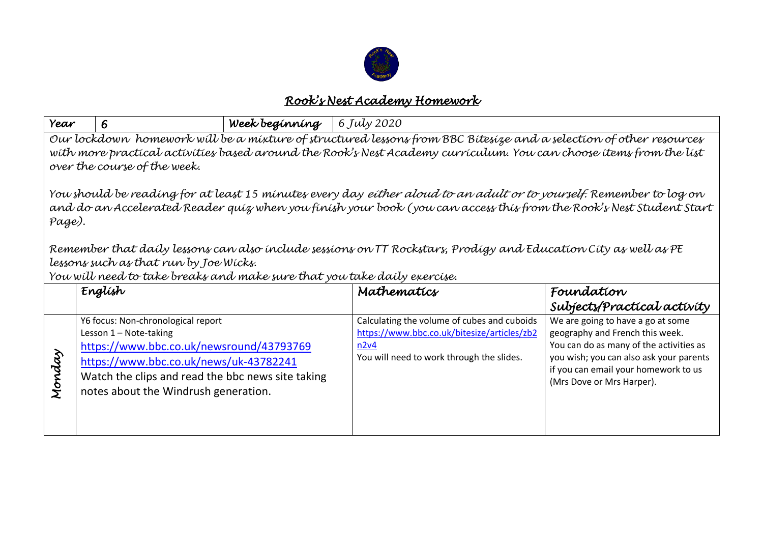

## *Rook's Nest Academy Homework*

| Year                                                                                                                                                                                                                                                                     | 6                                                                                                                                                                                                                                               | Week beginning | 6 July 2020                                                                                                                                     |                                                                                                                                                                                                                                 |  |  |
|--------------------------------------------------------------------------------------------------------------------------------------------------------------------------------------------------------------------------------------------------------------------------|-------------------------------------------------------------------------------------------------------------------------------------------------------------------------------------------------------------------------------------------------|----------------|-------------------------------------------------------------------------------------------------------------------------------------------------|---------------------------------------------------------------------------------------------------------------------------------------------------------------------------------------------------------------------------------|--|--|
| Our lockdown homework will be a mixture of structured lessons from BBC Bitesize and a selection of other resources<br>with more practical activities based around the Rook's Nest Academy curriculum. You can choose items from the list<br>over the course of the week. |                                                                                                                                                                                                                                                 |                |                                                                                                                                                 |                                                                                                                                                                                                                                 |  |  |
| You should be reading for at least 15 minutes every day <i>either aloud to an adult or to yourself.</i> Remember to log on<br>and do an Accelerated Reader quiz when you finish your book (you can access this from the Rook's Nest Student Start<br>Page).              |                                                                                                                                                                                                                                                 |                |                                                                                                                                                 |                                                                                                                                                                                                                                 |  |  |
| Remember that daily lessons can also include sessions on TT Rockstars, Prodigy and Education City as well as PE                                                                                                                                                          |                                                                                                                                                                                                                                                 |                |                                                                                                                                                 |                                                                                                                                                                                                                                 |  |  |
| lessons such as that run by Joe Wicks.<br>You will need to take breaks and make sure that you take daily exercise.                                                                                                                                                       |                                                                                                                                                                                                                                                 |                |                                                                                                                                                 |                                                                                                                                                                                                                                 |  |  |
|                                                                                                                                                                                                                                                                          | English                                                                                                                                                                                                                                         |                | Mathematics                                                                                                                                     | Foundation                                                                                                                                                                                                                      |  |  |
|                                                                                                                                                                                                                                                                          |                                                                                                                                                                                                                                                 |                |                                                                                                                                                 | Subjects/Practical activity                                                                                                                                                                                                     |  |  |
| Monday                                                                                                                                                                                                                                                                   | Y6 focus: Non-chronological report<br>Lesson 1 - Note-taking<br>https://www.bbc.co.uk/newsround/43793769<br>https://www.bbc.co.uk/news/uk-43782241<br>Watch the clips and read the bbc news site taking<br>notes about the Windrush generation. |                | Calculating the volume of cubes and cuboids<br>https://www.bbc.co.uk/bitesize/articles/zb2<br>n2v4<br>You will need to work through the slides. | We are going to have a go at some<br>geography and French this week.<br>You can do as many of the activities as<br>you wish; you can also ask your parents<br>if you can email your homework to us<br>(Mrs Dove or Mrs Harper). |  |  |